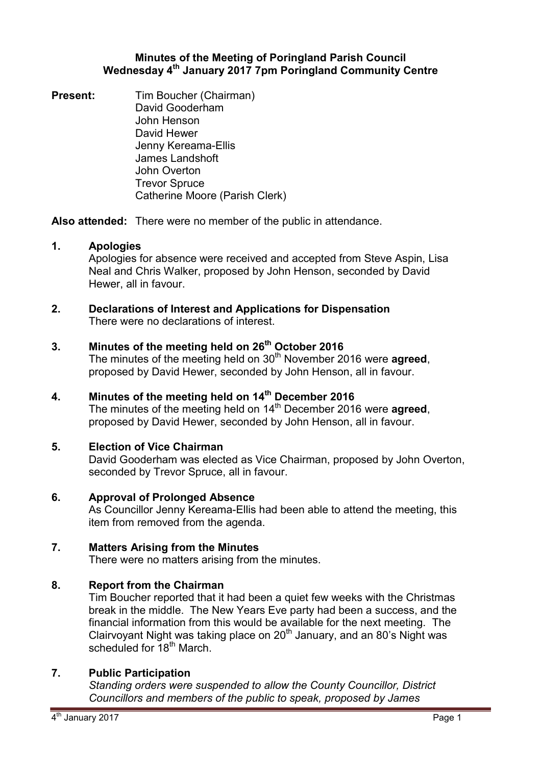### **Minutes of the Meeting of Poringland Parish Council Wednesday 4th January 2017 7pm Poringland Community Centre**

**Present:** Tim Boucher (Chairman) David Gooderham John Henson David Hewer Jenny Kereama-Ellis James Landshoft John Overton Trevor Spruce Catherine Moore (Parish Clerk)

**Also attended:** There were no member of the public in attendance.

# **1. Apologies**

Apologies for absence were received and accepted from Steve Aspin, Lisa Neal and Chris Walker, proposed by John Henson, seconded by David Hewer, all in favour.

### **2. Declarations of Interest and Applications for Dispensation** There were no declarations of interest.

# **3. Minutes of the meeting held on 26th October 2016**

The minutes of the meeting held on 30<sup>th</sup> November 2016 were **agreed**, proposed by David Hewer, seconded by John Henson, all in favour.

**4. Minutes of the meeting held on 14th December 2016** The minutes of the meeting held on 14<sup>th</sup> December 2016 were **agreed**, proposed by David Hewer, seconded by John Henson, all in favour.

# **5. Election of Vice Chairman**

David Gooderham was elected as Vice Chairman, proposed by John Overton, seconded by Trevor Spruce, all in favour.

# **6. Approval of Prolonged Absence**

As Councillor Jenny Kereama-Ellis had been able to attend the meeting, this item from removed from the agenda.

# **7. Matters Arising from the Minutes**

There were no matters arising from the minutes.

# **8. Report from the Chairman**

Tim Boucher reported that it had been a quiet few weeks with the Christmas break in the middle. The New Years Eve party had been a success, and the financial information from this would be available for the next meeting. The Clairvoyant Night was taking place on  $20<sup>th</sup>$  January, and an 80's Night was scheduled for 18<sup>th</sup> March.

# **7. Public Participation**

*Standing orders were suspended to allow the County Councillor, District Councillors and members of the public to speak, proposed by James*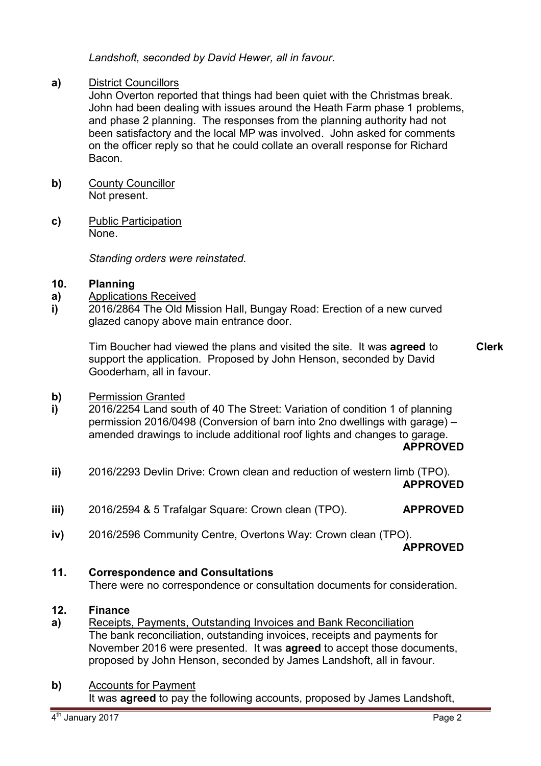*Landshoft, seconded by David Hewer, all in favour.* 

### **a)** District Councillors

John Overton reported that things had been quiet with the Christmas break. John had been dealing with issues around the Heath Farm phase 1 problems, and phase 2 planning. The responses from the planning authority had not been satisfactory and the local MP was involved. John asked for comments on the officer reply so that he could collate an overall response for Richard Bacon.

- **b)** County Councillor Not present.
- **c)** Public Participation None.

*Standing orders were reinstated.* 

#### **10. Planning**

- **a)**  Applications Received
- **i)**  2016/2864 The Old Mission Hall, Bungay Road: Erection of a new curved glazed canopy above main entrance door.

Tim Boucher had viewed the plans and visited the site. It was **agreed** to support the application. Proposed by John Henson, seconded by David Gooderham, all in favour. **Clerk**

- **b)**  Permission Granted
- **i)**  2016/2254 Land south of 40 The Street: Variation of condition 1 of planning permission 2016/0498 (Conversion of barn into 2no dwellings with garage) – amended drawings to include additional roof lights and changes to garage.

### **APPROVED**

- **ii)**  2016/2293 Devlin Drive: Crown clean and reduction of western limb (TPO). **APPROVED**
- **iii)**  2016/2594 & 5 Trafalgar Square: Crown clean (TPO). **APPROVED**
- **iv)**  2016/2596 Community Centre, Overtons Way: Crown clean (TPO).

**APPROVED** 

# **11. Correspondence and Consultations**

There were no correspondence or consultation documents for consideration.

#### **12. Finance**

**a)**  Receipts, Payments, Outstanding Invoices and Bank Reconciliation The bank reconciliation, outstanding invoices, receipts and payments for November 2016 were presented. It was **agreed** to accept those documents, proposed by John Henson, seconded by James Landshoft, all in favour.

### **b)** Accounts for Payment

It was **agreed** to pay the following accounts, proposed by James Landshoft,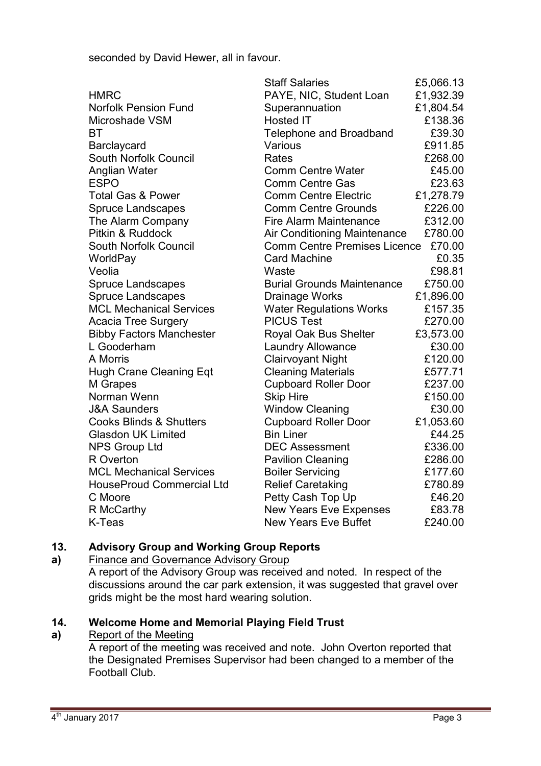seconded by David Hewer, all in favour.

|                                    | <b>Staff Salaries</b>               | £5,066.13 |
|------------------------------------|-------------------------------------|-----------|
| <b>HMRC</b>                        | PAYE, NIC, Student Loan             | £1,932.39 |
| <b>Norfolk Pension Fund</b>        | Superannuation                      | £1,804.54 |
| Microshade VSM                     | <b>Hosted IT</b>                    | £138.36   |
| BT                                 | <b>Telephone and Broadband</b>      | £39.30    |
| Barclaycard                        | Various                             | £911.85   |
| <b>South Norfolk Council</b>       | Rates                               | £268.00   |
| Anglian Water                      | <b>Comm Centre Water</b>            | £45.00    |
| <b>ESPO</b>                        | <b>Comm Centre Gas</b>              | £23.63    |
| <b>Total Gas &amp; Power</b>       | <b>Comm Centre Electric</b>         | £1,278.79 |
| <b>Spruce Landscapes</b>           | <b>Comm Centre Grounds</b>          | £226.00   |
| The Alarm Company                  | <b>Fire Alarm Maintenance</b>       | £312.00   |
| Pitkin & Ruddock                   | Air Conditioning Maintenance        | £780.00   |
| South Norfolk Council              | <b>Comm Centre Premises Licence</b> | £70.00    |
| WorldPay                           | <b>Card Machine</b>                 | £0.35     |
| Veolia                             | Waste                               | £98.81    |
| <b>Spruce Landscapes</b>           | <b>Burial Grounds Maintenance</b>   | £750.00   |
| <b>Spruce Landscapes</b>           | Drainage Works                      | £1,896.00 |
| <b>MCL Mechanical Services</b>     | <b>Water Regulations Works</b>      | £157.35   |
| <b>Acacia Tree Surgery</b>         | <b>PICUS Test</b>                   | £270.00   |
| <b>Bibby Factors Manchester</b>    | Royal Oak Bus Shelter               | £3,573.00 |
| L Gooderham                        | <b>Laundry Allowance</b>            | £30.00    |
| A Morris                           | <b>Clairvoyant Night</b>            | £120.00   |
| <b>Hugh Crane Cleaning Eqt</b>     | <b>Cleaning Materials</b>           | £577.71   |
| M Grapes                           | <b>Cupboard Roller Door</b>         | £237.00   |
| Norman Wenn                        | <b>Skip Hire</b>                    | £150.00   |
| <b>J&amp;A Saunders</b>            | <b>Window Cleaning</b>              | £30.00    |
| <b>Cooks Blinds &amp; Shutters</b> | <b>Cupboard Roller Door</b>         | £1,053.60 |
| <b>Glasdon UK Limited</b>          | <b>Bin Liner</b>                    | £44.25    |
| <b>NPS Group Ltd</b>               | <b>DEC Assessment</b>               | £336.00   |
| R Overton                          | <b>Pavilion Cleaning</b>            | £286.00   |
| <b>MCL Mechanical Services</b>     | <b>Boiler Servicing</b>             | £177.60   |
| <b>HouseProud Commercial Ltd</b>   | <b>Relief Caretaking</b>            | £780.89   |
| C Moore                            | Petty Cash Top Up                   | £46.20    |
| R McCarthy                         | <b>New Years Eve Expenses</b>       | £83.78    |
| K-Teas                             | <b>New Years Eve Buffet</b>         | £240.00   |

#### **13. Advisory Group and Working Group Reports**

**a)**  Finance and Governance Advisory Group

A report of the Advisory Group was received and noted. In respect of the discussions around the car park extension, it was suggested that gravel over grids might be the most hard wearing solution.

#### **14. Welcome Home and Memorial Playing Field Trust**

#### **a)**  Report of the Meeting

A report of the meeting was received and note. John Overton reported that the Designated Premises Supervisor had been changed to a member of the Football Club.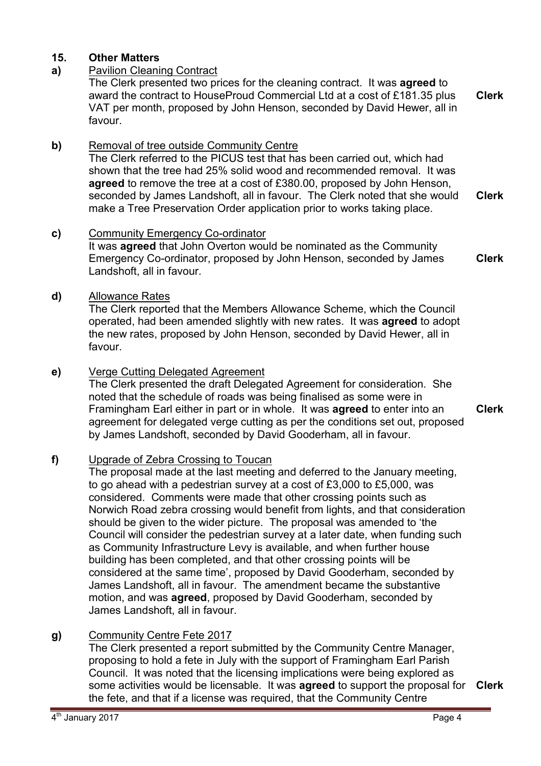### **15. Other Matters**

### **a)** Pavilion Cleaning Contract

The Clerk presented two prices for the cleaning contract. It was **agreed** to award the contract to HouseProud Commercial Ltd at a cost of £181.35 plus VAT per month, proposed by John Henson, seconded by David Hewer, all in favour. **Clerk**

### **b)** Removal of tree outside Community Centre

The Clerk referred to the PICUS test that has been carried out, which had shown that the tree had 25% solid wood and recommended removal. It was **agreed** to remove the tree at a cost of £380.00, proposed by John Henson, seconded by James Landshoft, all in favour. The Clerk noted that she would make a Tree Preservation Order application prior to works taking place. **Clerk**

### **c)** Community Emergency Co-ordinator

It was **agreed** that John Overton would be nominated as the Community Emergency Co-ordinator, proposed by John Henson, seconded by James Landshoft, all in favour. **Clerk**

### **d)** Allowance Rates

The Clerk reported that the Members Allowance Scheme, which the Council operated, had been amended slightly with new rates. It was **agreed** to adopt the new rates, proposed by John Henson, seconded by David Hewer, all in favour.

### **e)** Verge Cutting Delegated Agreement

The Clerk presented the draft Delegated Agreement for consideration. She noted that the schedule of roads was being finalised as some were in Framingham Earl either in part or in whole. It was **agreed** to enter into an agreement for delegated verge cutting as per the conditions set out, proposed by James Landshoft, seconded by David Gooderham, all in favour.

### **f)** Upgrade of Zebra Crossing to Toucan

The proposal made at the last meeting and deferred to the January meeting, to go ahead with a pedestrian survey at a cost of £3,000 to £5,000, was considered. Comments were made that other crossing points such as Norwich Road zebra crossing would benefit from lights, and that consideration should be given to the wider picture. The proposal was amended to 'the Council will consider the pedestrian survey at a later date, when funding such as Community Infrastructure Levy is available, and when further house building has been completed, and that other crossing points will be considered at the same time', proposed by David Gooderham, seconded by James Landshoft, all in favour. The amendment became the substantive motion, and was **agreed**, proposed by David Gooderham, seconded by James Landshoft, all in favour.

### **g)** Community Centre Fete 2017

The Clerk presented a report submitted by the Community Centre Manager, proposing to hold a fete in July with the support of Framingham Earl Parish Council. It was noted that the licensing implications were being explored as some activities would be licensable. It was **agreed** to support the proposal for **Clerk**the fete, and that if a license was required, that the Community Centre

**Clerk**